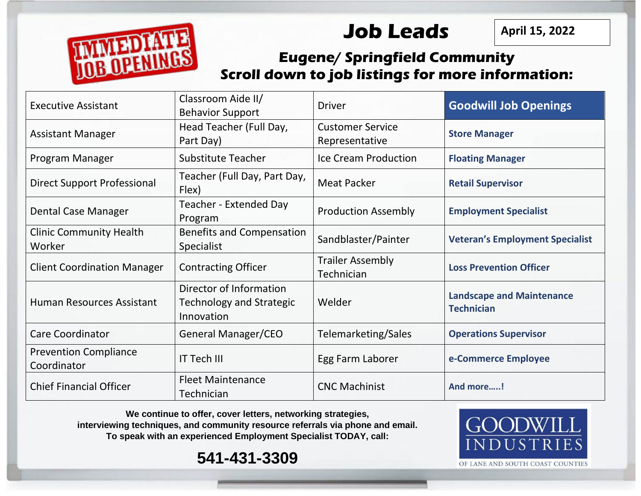**Job Leads**

**April 15, 2022**



## **Eugene/ Springfield Community Scroll down to job listings for more information:**

| <b>Executive Assistant</b>                  | Classroom Aide II/<br><b>Behavior Support</b>                            | <b>Driver</b>                             | <b>Goodwill Job Openings</b>                          |
|---------------------------------------------|--------------------------------------------------------------------------|-------------------------------------------|-------------------------------------------------------|
| <b>Assistant Manager</b>                    | Head Teacher (Full Day,<br>Part Day)                                     | <b>Customer Service</b><br>Representative | <b>Store Manager</b>                                  |
| Program Manager                             | <b>Substitute Teacher</b>                                                | Ice Cream Production                      | <b>Floating Manager</b>                               |
| <b>Direct Support Professional</b>          | Teacher (Full Day, Part Day,<br>Flex)                                    | <b>Meat Packer</b>                        | <b>Retail Supervisor</b>                              |
| Dental Case Manager                         | Teacher - Extended Day<br>Program                                        | <b>Production Assembly</b>                | <b>Employment Specialist</b>                          |
| <b>Clinic Community Health</b><br>Worker    | <b>Benefits and Compensation</b><br>Specialist                           | Sandblaster/Painter                       | <b>Veteran's Employment Specialist</b>                |
| <b>Client Coordination Manager</b>          | <b>Contracting Officer</b>                                               | <b>Trailer Assembly</b><br>Technician     | <b>Loss Prevention Officer</b>                        |
| Human Resources Assistant                   | Director of Information<br><b>Technology and Strategic</b><br>Innovation | Welder                                    | <b>Landscape and Maintenance</b><br><b>Technician</b> |
| <b>Care Coordinator</b>                     | General Manager/CEO                                                      | Telemarketing/Sales                       | <b>Operations Supervisor</b>                          |
| <b>Prevention Compliance</b><br>Coordinator | <b>IT Tech III</b>                                                       | Egg Farm Laborer                          | e-Commerce Employee                                   |
| <b>Chief Financial Officer</b>              | <b>Fleet Maintenance</b><br>Technician                                   | <b>CNC Machinist</b>                      | And more!                                             |

**We continue to offer, cover letters, networking strategies,** 

**interviewing techniques, and community resource referrals via phone and email. To speak with an experienced Employment Specialist TODAY, call:** 





OF LANE AND SOUTH COAST COUNTIES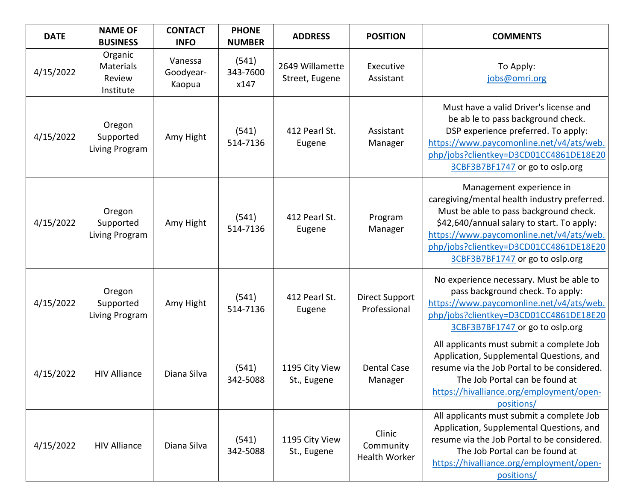| <b>DATE</b> | <b>NAME OF</b><br><b>BUSINESS</b>                  | <b>CONTACT</b><br><b>INFO</b>  | <b>PHONE</b><br><b>NUMBER</b> | <b>ADDRESS</b>                    | <b>POSITION</b>                       | <b>COMMENTS</b>                                                                                                                                                                                                                                                                           |
|-------------|----------------------------------------------------|--------------------------------|-------------------------------|-----------------------------------|---------------------------------------|-------------------------------------------------------------------------------------------------------------------------------------------------------------------------------------------------------------------------------------------------------------------------------------------|
| 4/15/2022   | Organic<br><b>Materials</b><br>Review<br>Institute | Vanessa<br>Goodyear-<br>Kaopua | (541)<br>343-7600<br>x147     | 2649 Willamette<br>Street, Eugene | Executive<br>Assistant                | To Apply:<br>jobs@omri.org                                                                                                                                                                                                                                                                |
| 4/15/2022   | Oregon<br>Supported<br>Living Program              | Amy Hight                      | (541)<br>514-7136             | 412 Pearl St.<br>Eugene           | Assistant<br>Manager                  | Must have a valid Driver's license and<br>be ab le to pass background check.<br>DSP experience preferred. To apply:<br>https://www.paycomonline.net/v4/ats/web.<br>php/jobs?clientkey=D3CD01CC4861DE18E20<br>3CBF3B7BF1747 or go to oslp.org                                              |
| 4/15/2022   | Oregon<br>Supported<br>Living Program              | Amy Hight                      | (541)<br>514-7136             | 412 Pearl St.<br>Eugene           | Program<br>Manager                    | Management experience in<br>caregiving/mental health industry preferred.<br>Must be able to pass background check.<br>\$42,640/annual salary to start. To apply:<br>https://www.paycomonline.net/v4/ats/web.<br>php/jobs?clientkey=D3CD01CC4861DE18E20<br>3CBF3B7BF1747 or go to oslp.org |
| 4/15/2022   | Oregon<br>Supported<br>Living Program              | Amy Hight                      | (541)<br>514-7136             | 412 Pearl St.<br>Eugene           | <b>Direct Support</b><br>Professional | No experience necessary. Must be able to<br>pass background check. To apply:<br>https://www.paycomonline.net/v4/ats/web.<br>php/jobs?clientkey=D3CD01CC4861DE18E20<br>3CBF3B7BF1747 or go to oslp.org                                                                                     |
| 4/15/2022   | <b>HIV Alliance</b>                                | Diana Silva                    | (541)<br>342-5088             | 1195 City View<br>St., Eugene     | <b>Dental Case</b><br>Manager         | All applicants must submit a complete Job<br>Application, Supplemental Questions, and<br>resume via the Job Portal to be considered.<br>The Job Portal can be found at<br>https://hivalliance.org/employment/open-<br>positions/                                                          |
| 4/15/2022   | <b>HIV Alliance</b>                                | Diana Silva                    | (541)<br>342-5088             | 1195 City View<br>St., Eugene     | Clinic<br>Community<br>Health Worker  | All applicants must submit a complete Job<br>Application, Supplemental Questions, and<br>resume via the Job Portal to be considered.<br>The Job Portal can be found at<br>https://hivalliance.org/employment/open-<br>positions/                                                          |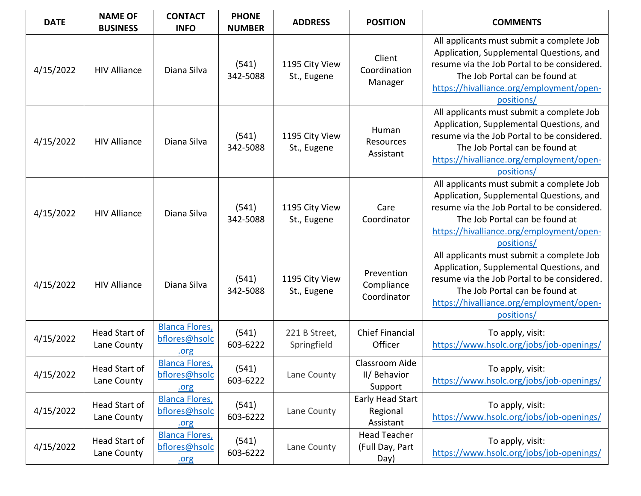| <b>DATE</b> | <b>NAME OF</b><br><b>BUSINESS</b>   | <b>CONTACT</b><br><b>INFO</b>                  | <b>PHONE</b><br><b>NUMBER</b> | <b>ADDRESS</b>                | <b>POSITION</b>                                | <b>COMMENTS</b>                                                                                                                                                                                                                  |
|-------------|-------------------------------------|------------------------------------------------|-------------------------------|-------------------------------|------------------------------------------------|----------------------------------------------------------------------------------------------------------------------------------------------------------------------------------------------------------------------------------|
| 4/15/2022   | <b>HIV Alliance</b>                 | Diana Silva                                    | (541)<br>342-5088             | 1195 City View<br>St., Eugene | Client<br>Coordination<br>Manager              | All applicants must submit a complete Job<br>Application, Supplemental Questions, and<br>resume via the Job Portal to be considered.<br>The Job Portal can be found at<br>https://hivalliance.org/employment/open-<br>positions/ |
| 4/15/2022   | <b>HIV Alliance</b>                 | Diana Silva                                    | (541)<br>342-5088             | 1195 City View<br>St., Eugene | Human<br>Resources<br>Assistant                | All applicants must submit a complete Job<br>Application, Supplemental Questions, and<br>resume via the Job Portal to be considered.<br>The Job Portal can be found at<br>https://hivalliance.org/employment/open-<br>positions/ |
| 4/15/2022   | <b>HIV Alliance</b>                 | Diana Silva                                    | (541)<br>342-5088             | 1195 City View<br>St., Eugene | Care<br>Coordinator                            | All applicants must submit a complete Job<br>Application, Supplemental Questions, and<br>resume via the Job Portal to be considered.<br>The Job Portal can be found at<br>https://hivalliance.org/employment/open-<br>positions/ |
| 4/15/2022   | <b>HIV Alliance</b>                 | Diana Silva                                    | (541)<br>342-5088             | 1195 City View<br>St., Eugene | Prevention<br>Compliance<br>Coordinator        | All applicants must submit a complete Job<br>Application, Supplemental Questions, and<br>resume via the Job Portal to be considered.<br>The Job Portal can be found at<br>https://hivalliance.org/employment/open-<br>positions/ |
| 4/15/2022   | <b>Head Start of</b><br>Lane County | <b>Blanca Flores,</b><br>bflores@hsolc<br>.org | (541)<br>603-6222             | 221 B Street,<br>Springfield  | <b>Chief Financial</b><br>Officer              | To apply, visit:<br>https://www.hsolc.org/jobs/job-openings/                                                                                                                                                                     |
| 4/15/2022   | Head Start of<br>Lane County        | <b>Blanca Flores,</b><br>bflores@hsolc<br>.org | (541)<br>603-6222             | Lane County                   | Classroom Aide<br>II/ Behavior<br>Support      | To apply, visit:<br>https://www.hsolc.org/jobs/job-openings/                                                                                                                                                                     |
| 4/15/2022   | Head Start of<br>Lane County        | <b>Blanca Flores,</b><br>bflores@hsolc<br>.org | (541)<br>603-6222             | Lane County                   | Early Head Start<br>Regional<br>Assistant      | To apply, visit:<br>https://www.hsolc.org/jobs/job-openings/                                                                                                                                                                     |
| 4/15/2022   | Head Start of<br>Lane County        | <b>Blanca Flores,</b><br>bflores@hsolc<br>.org | (541)<br>603-6222             | Lane County                   | <b>Head Teacher</b><br>(Full Day, Part<br>Day) | To apply, visit:<br>https://www.hsolc.org/jobs/job-openings/                                                                                                                                                                     |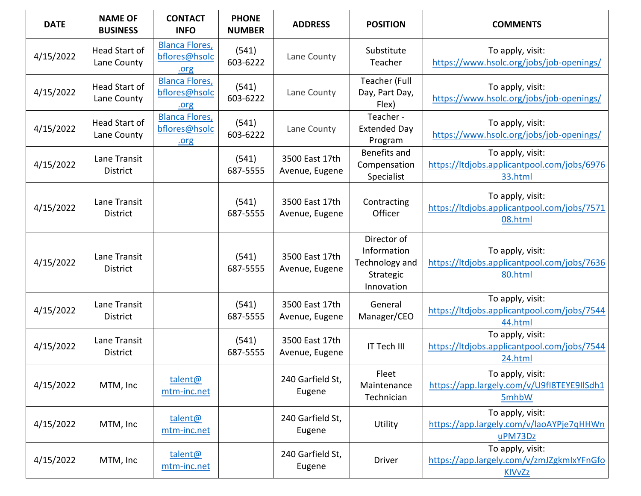| <b>DATE</b> | <b>NAME OF</b><br><b>BUSINESS</b> | <b>CONTACT</b><br><b>INFO</b>                  | <b>PHONE</b><br><b>NUMBER</b> | <b>ADDRESS</b>                   | <b>POSITION</b>                                                         | <b>COMMENTS</b>                                                                |
|-------------|-----------------------------------|------------------------------------------------|-------------------------------|----------------------------------|-------------------------------------------------------------------------|--------------------------------------------------------------------------------|
| 4/15/2022   | Head Start of<br>Lane County      | <b>Blanca Flores,</b><br>bflores@hsolc<br>.org | (541)<br>603-6222             | Lane County                      | Substitute<br>Teacher                                                   | To apply, visit:<br>https://www.hsolc.org/jobs/job-openings/                   |
| 4/15/2022   | Head Start of<br>Lane County      | <b>Blanca Flores,</b><br>bflores@hsolc<br>.org | (541)<br>603-6222             | Lane County                      | Teacher (Full<br>Day, Part Day,<br>Flex)                                | To apply, visit:<br>https://www.hsolc.org/jobs/job-openings/                   |
| 4/15/2022   | Head Start of<br>Lane County      | <b>Blanca Flores,</b><br>bflores@hsolc<br>.org | (541)<br>603-6222             | Lane County                      | Teacher -<br><b>Extended Day</b><br>Program                             | To apply, visit:<br>https://www.hsolc.org/jobs/job-openings/                   |
| 4/15/2022   | Lane Transit<br><b>District</b>   |                                                | (541)<br>687-5555             | 3500 East 17th<br>Avenue, Eugene | Benefits and<br>Compensation<br>Specialist                              | To apply, visit:<br>https://ltdjobs.applicantpool.com/jobs/6976<br>33.html     |
| 4/15/2022   | Lane Transit<br>District          |                                                | (541)<br>687-5555             | 3500 East 17th<br>Avenue, Eugene | Contracting<br>Officer                                                  | To apply, visit:<br>https://ltdjobs.applicantpool.com/jobs/7571<br>08.html     |
| 4/15/2022   | Lane Transit<br><b>District</b>   |                                                | (541)<br>687-5555             | 3500 East 17th<br>Avenue, Eugene | Director of<br>Information<br>Technology and<br>Strategic<br>Innovation | To apply, visit:<br>https://ltdjobs.applicantpool.com/jobs/7636<br>80.html     |
| 4/15/2022   | Lane Transit<br><b>District</b>   |                                                | (541)<br>687-5555             | 3500 East 17th<br>Avenue, Eugene | General<br>Manager/CEO                                                  | To apply, visit:<br>https://ltdjobs.applicantpool.com/jobs/7544<br>44.html     |
| 4/15/2022   | Lane Transit<br><b>District</b>   |                                                | (541)<br>687-5555             | 3500 East 17th<br>Avenue, Eugene | IT Tech III                                                             | To apply, visit:<br>https://ltdjobs.applicantpool.com/jobs/7544<br>24.html     |
| 4/15/2022   | MTM, Inc                          | talent@<br>mtm-inc.net                         |                               | 240 Garfield St,<br>Eugene       | Fleet<br>Maintenance<br>Technician                                      | To apply, visit:<br>https://app.largely.com/v/U9fI8TEYE9IISdh1<br>5mhbW        |
| 4/15/2022   | MTM, Inc                          | talent@<br>mtm-inc.net                         |                               | 240 Garfield St,<br>Eugene       | Utility                                                                 | To apply, visit:<br>https://app.largely.com/v/laoAYPje7qHHWn<br>uPM73Dz        |
| 4/15/2022   | MTM, Inc                          | talent@<br>mtm-inc.net                         |                               | 240 Garfield St,<br>Eugene       | <b>Driver</b>                                                           | To apply, visit:<br>https://app.largely.com/v/zmJZgkmIxYFnGfo<br><b>KIVvZz</b> |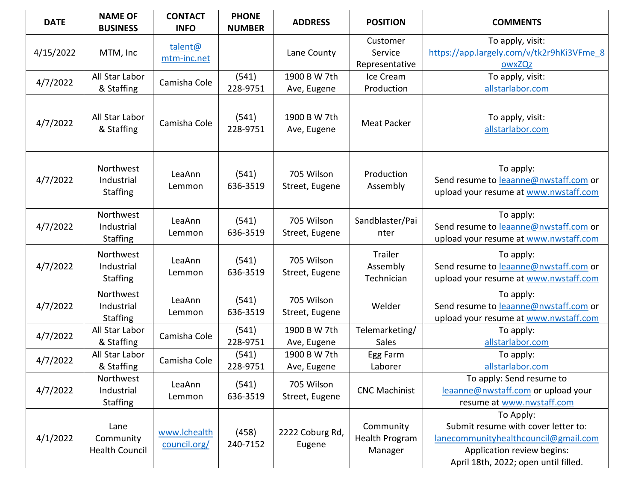| <b>DATE</b> | <b>NAME OF</b><br><b>BUSINESS</b>          | <b>CONTACT</b><br><b>INFO</b> | <b>PHONE</b><br><b>NUMBER</b> | <b>ADDRESS</b>               | <b>POSITION</b>                        | <b>COMMENTS</b>                                                                                                                                                |
|-------------|--------------------------------------------|-------------------------------|-------------------------------|------------------------------|----------------------------------------|----------------------------------------------------------------------------------------------------------------------------------------------------------------|
| 4/15/2022   | MTM, Inc                                   | talent@<br>mtm-inc.net        |                               | Lane County                  | Customer<br>Service<br>Representative  | To apply, visit:<br>https://app.largely.com/v/tk2r9hKi3VFme 8<br>owxZQz                                                                                        |
| 4/7/2022    | All Star Labor<br>& Staffing               | Camisha Cole                  | (541)<br>228-9751             | 1900 B W 7th<br>Ave, Eugene  | Ice Cream<br>Production                | To apply, visit:<br>allstarlabor.com                                                                                                                           |
| 4/7/2022    | All Star Labor<br>& Staffing               | Camisha Cole                  | (541)<br>228-9751             | 1900 B W 7th<br>Ave, Eugene  | <b>Meat Packer</b>                     | To apply, visit:<br>allstarlabor.com                                                                                                                           |
| 4/7/2022    | Northwest<br>Industrial<br>Staffing        | LeaAnn<br>Lemmon              | (541)<br>636-3519             | 705 Wilson<br>Street, Eugene | Production<br>Assembly                 | To apply:<br>Send resume to leaanne@nwstaff.com or<br>upload your resume at www.nwstaff.com                                                                    |
| 4/7/2022    | Northwest<br>Industrial<br><b>Staffing</b> | LeaAnn<br>Lemmon              | (541)<br>636-3519             | 705 Wilson<br>Street, Eugene | Sandblaster/Pai<br>nter                | To apply:<br>Send resume to leaanne@nwstaff.com or<br>upload your resume at www.nwstaff.com                                                                    |
| 4/7/2022    | Northwest<br>Industrial<br><b>Staffing</b> | LeaAnn<br>Lemmon              | (541)<br>636-3519             | 705 Wilson<br>Street, Eugene | Trailer<br>Assembly<br>Technician      | To apply:<br>Send resume to leaanne@nwstaff.com or<br>upload your resume at www.nwstaff.com                                                                    |
| 4/7/2022    | Northwest<br>Industrial<br>Staffing        | LeaAnn<br>Lemmon              | (541)<br>636-3519             | 705 Wilson<br>Street, Eugene | Welder                                 | To apply:<br>Send resume to leaanne@nwstaff.com or<br>upload your resume at www.nwstaff.com                                                                    |
| 4/7/2022    | All Star Labor<br>& Staffing               | Camisha Cole                  | (541)<br>228-9751             | 1900 B W 7th<br>Ave, Eugene  | Telemarketing/<br>Sales                | To apply:<br>allstarlabor.com                                                                                                                                  |
| 4/7/2022    | All Star Labor<br>& Staffing               | Camisha Cole                  | (541)<br>228-9751             | 1900 B W 7th<br>Ave, Eugene  | Egg Farm<br>Laborer                    | To apply:<br>allstarlabor.com                                                                                                                                  |
| 4/7/2022    | Northwest<br>Industrial<br><b>Staffing</b> | LeaAnn<br>Lemmon              | (541)<br>636-3519             | 705 Wilson<br>Street, Eugene | <b>CNC Machinist</b>                   | To apply: Send resume to<br>leaanne@nwstaff.com or upload your<br>resume at www.nwstaff.com                                                                    |
| 4/1/2022    | Lane<br>Community<br><b>Health Council</b> | www.lchealth<br>council.org/  | (458)<br>240-7152             | 2222 Coburg Rd,<br>Eugene    | Community<br>Health Program<br>Manager | To Apply:<br>Submit resume with cover letter to:<br>lanecommunityhealthcouncil@gmail.com<br>Application review begins:<br>April 18th, 2022; open until filled. |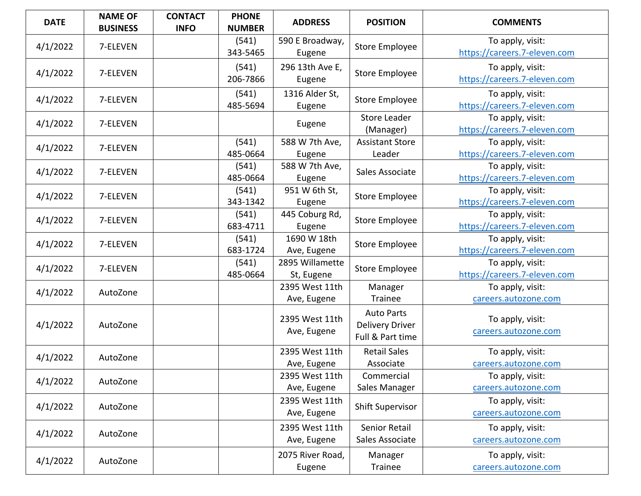| <b>DATE</b> | <b>NAME OF</b><br><b>BUSINESS</b> | <b>CONTACT</b><br><b>INFO</b> | <b>PHONE</b><br><b>NUMBER</b> | <b>ADDRESS</b>                | <b>POSITION</b>                                                 | <b>COMMENTS</b>                                  |
|-------------|-----------------------------------|-------------------------------|-------------------------------|-------------------------------|-----------------------------------------------------------------|--------------------------------------------------|
| 4/1/2022    | 7-ELEVEN                          |                               | (541)<br>343-5465             | 590 E Broadway,<br>Eugene     | Store Employee                                                  | To apply, visit:<br>https://careers.7-eleven.com |
| 4/1/2022    | 7-ELEVEN                          |                               | (541)<br>206-7866             | 296 13th Ave E,<br>Eugene     | Store Employee                                                  | To apply, visit:<br>https://careers.7-eleven.com |
| 4/1/2022    | 7-ELEVEN                          |                               | (541)<br>485-5694             | 1316 Alder St,<br>Eugene      | Store Employee                                                  | To apply, visit:<br>https://careers.7-eleven.com |
| 4/1/2022    | 7-ELEVEN                          |                               |                               | Eugene                        | <b>Store Leader</b><br>(Manager)                                | To apply, visit:<br>https://careers.7-eleven.com |
| 4/1/2022    | 7-ELEVEN                          |                               | (541)<br>485-0664             | 588 W 7th Ave,<br>Eugene      | <b>Assistant Store</b><br>Leader                                | To apply, visit:<br>https://careers.7-eleven.com |
| 4/1/2022    | 7-ELEVEN                          |                               | (541)<br>485-0664             | 588 W 7th Ave,<br>Eugene      | Sales Associate                                                 | To apply, visit:<br>https://careers.7-eleven.com |
| 4/1/2022    | 7-ELEVEN                          |                               | (541)<br>343-1342             | 951 W 6th St,<br>Eugene       | Store Employee                                                  | To apply, visit:<br>https://careers.7-eleven.com |
| 4/1/2022    | 7-ELEVEN                          |                               | (541)<br>683-4711             | 445 Coburg Rd,<br>Eugene      | Store Employee                                                  | To apply, visit:<br>https://careers.7-eleven.com |
| 4/1/2022    | 7-ELEVEN                          |                               | (541)<br>683-1724             | 1690 W 18th<br>Ave, Eugene    | Store Employee                                                  | To apply, visit:<br>https://careers.7-eleven.com |
| 4/1/2022    | 7-ELEVEN                          |                               | (541)<br>485-0664             | 2895 Willamette<br>St, Eugene | Store Employee                                                  | To apply, visit:<br>https://careers.7-eleven.com |
| 4/1/2022    | AutoZone                          |                               |                               | 2395 West 11th<br>Ave, Eugene | Manager<br><b>Trainee</b>                                       | To apply, visit:<br>careers.autozone.com         |
| 4/1/2022    | AutoZone                          |                               |                               | 2395 West 11th<br>Ave, Eugene | <b>Auto Parts</b><br><b>Delivery Driver</b><br>Full & Part time | To apply, visit:<br>careers.autozone.com         |
| 4/1/2022    | AutoZone                          |                               |                               | 2395 West 11th<br>Ave, Eugene | <b>Retail Sales</b><br>Associate                                | To apply, visit:<br>careers.autozone.com         |
| 4/1/2022    | AutoZone                          |                               |                               | 2395 West 11th<br>Ave, Eugene | Commercial<br>Sales Manager                                     | To apply, visit:<br>careers.autozone.com         |
| 4/1/2022    | AutoZone                          |                               |                               | 2395 West 11th<br>Ave, Eugene | <b>Shift Supervisor</b>                                         | To apply, visit:<br>careers.autozone.com         |
| 4/1/2022    | AutoZone                          |                               |                               | 2395 West 11th<br>Ave, Eugene | <b>Senior Retail</b><br>Sales Associate                         | To apply, visit:<br>careers.autozone.com         |
| 4/1/2022    | AutoZone                          |                               |                               | 2075 River Road,<br>Eugene    | Manager<br><b>Trainee</b>                                       | To apply, visit:<br>careers.autozone.com         |